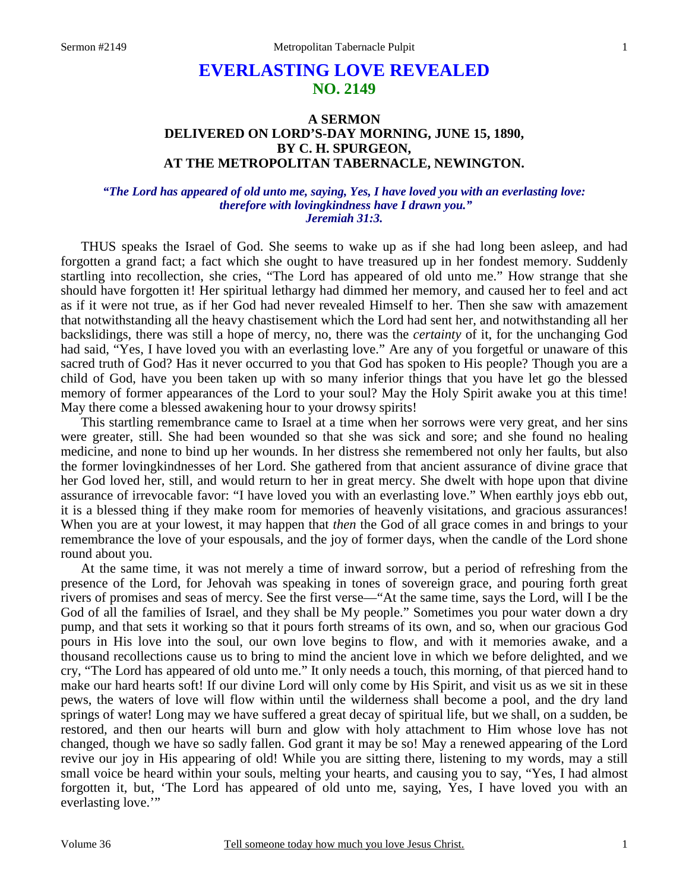# **EVERLASTING LOVE REVEALED NO. 2149**

## **A SERMON DELIVERED ON LORD'S-DAY MORNING, JUNE 15, 1890, BY C. H. SPURGEON, AT THE METROPOLITAN TABERNACLE, NEWINGTON.**

### *"The Lord has appeared of old unto me, saying, Yes, I have loved you with an everlasting love: therefore with lovingkindness have I drawn you." Jeremiah 31:3.*

THUS speaks the Israel of God. She seems to wake up as if she had long been asleep, and had forgotten a grand fact; a fact which she ought to have treasured up in her fondest memory. Suddenly startling into recollection, she cries, "The Lord has appeared of old unto me." How strange that she should have forgotten it! Her spiritual lethargy had dimmed her memory, and caused her to feel and act as if it were not true, as if her God had never revealed Himself to her. Then she saw with amazement that notwithstanding all the heavy chastisement which the Lord had sent her, and notwithstanding all her backslidings, there was still a hope of mercy, no, there was the *certainty* of it, for the unchanging God had said, "Yes, I have loved you with an everlasting love." Are any of you forgetful or unaware of this sacred truth of God? Has it never occurred to you that God has spoken to His people? Though you are a child of God, have you been taken up with so many inferior things that you have let go the blessed memory of former appearances of the Lord to your soul? May the Holy Spirit awake you at this time! May there come a blessed awakening hour to your drowsy spirits!

 This startling remembrance came to Israel at a time when her sorrows were very great, and her sins were greater, still. She had been wounded so that she was sick and sore; and she found no healing medicine, and none to bind up her wounds. In her distress she remembered not only her faults, but also the former lovingkindnesses of her Lord. She gathered from that ancient assurance of divine grace that her God loved her, still, and would return to her in great mercy. She dwelt with hope upon that divine assurance of irrevocable favor: "I have loved you with an everlasting love." When earthly joys ebb out, it is a blessed thing if they make room for memories of heavenly visitations, and gracious assurances! When you are at your lowest, it may happen that *then* the God of all grace comes in and brings to your remembrance the love of your espousals, and the joy of former days, when the candle of the Lord shone round about you.

 At the same time, it was not merely a time of inward sorrow, but a period of refreshing from the presence of the Lord, for Jehovah was speaking in tones of sovereign grace, and pouring forth great rivers of promises and seas of mercy. See the first verse—"At the same time, says the Lord, will I be the God of all the families of Israel, and they shall be My people." Sometimes you pour water down a dry pump, and that sets it working so that it pours forth streams of its own, and so, when our gracious God pours in His love into the soul, our own love begins to flow, and with it memories awake, and a thousand recollections cause us to bring to mind the ancient love in which we before delighted, and we cry, "The Lord has appeared of old unto me." It only needs a touch, this morning, of that pierced hand to make our hard hearts soft! If our divine Lord will only come by His Spirit, and visit us as we sit in these pews, the waters of love will flow within until the wilderness shall become a pool, and the dry land springs of water! Long may we have suffered a great decay of spiritual life, but we shall, on a sudden, be restored, and then our hearts will burn and glow with holy attachment to Him whose love has not changed, though we have so sadly fallen. God grant it may be so! May a renewed appearing of the Lord revive our joy in His appearing of old! While you are sitting there, listening to my words, may a still small voice be heard within your souls, melting your hearts, and causing you to say, "Yes, I had almost forgotten it, but, 'The Lord has appeared of old unto me, saying, Yes, I have loved you with an everlasting love."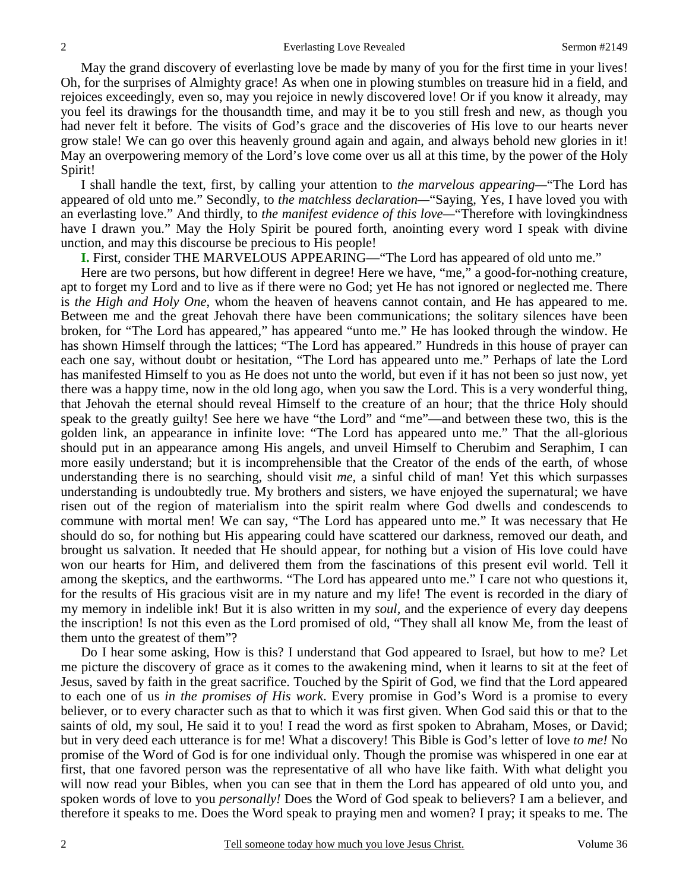May the grand discovery of everlasting love be made by many of you for the first time in your lives! Oh, for the surprises of Almighty grace! As when one in plowing stumbles on treasure hid in a field, and rejoices exceedingly, even so, may you rejoice in newly discovered love! Or if you know it already, may you feel its drawings for the thousandth time, and may it be to you still fresh and new, as though you had never felt it before. The visits of God's grace and the discoveries of His love to our hearts never grow stale! We can go over this heavenly ground again and again, and always behold new glories in it! May an overpowering memory of the Lord's love come over us all at this time, by the power of the Holy Spirit!

 I shall handle the text, first, by calling your attention to *the marvelous appearing—*"The Lord has appeared of old unto me." Secondly, to *the matchless declaration—*"Saying, Yes, I have loved you with an everlasting love." And thirdly, to *the manifest evidence of this love—*"Therefore with lovingkindness have I drawn you." May the Holy Spirit be poured forth, anointing every word I speak with divine unction, and may this discourse be precious to His people!

**I.** First, consider THE MARVELOUS APPEARING—"The Lord has appeared of old unto me."

Here are two persons, but how different in degree! Here we have, "me," a good-for-nothing creature, apt to forget my Lord and to live as if there were no God; yet He has not ignored or neglected me. There is *the High and Holy One*, whom the heaven of heavens cannot contain, and He has appeared to me. Between me and the great Jehovah there have been communications; the solitary silences have been broken, for "The Lord has appeared," has appeared "unto me." He has looked through the window. He has shown Himself through the lattices; "The Lord has appeared." Hundreds in this house of prayer can each one say, without doubt or hesitation, "The Lord has appeared unto me." Perhaps of late the Lord has manifested Himself to you as He does not unto the world, but even if it has not been so just now, yet there was a happy time, now in the old long ago, when you saw the Lord. This is a very wonderful thing, that Jehovah the eternal should reveal Himself to the creature of an hour; that the thrice Holy should speak to the greatly guilty! See here we have "the Lord" and "me"—and between these two, this is the golden link, an appearance in infinite love: "The Lord has appeared unto me." That the all-glorious should put in an appearance among His angels, and unveil Himself to Cherubim and Seraphim, I can more easily understand; but it is incomprehensible that the Creator of the ends of the earth, of whose understanding there is no searching, should visit *me,* a sinful child of man! Yet this which surpasses understanding is undoubtedly true. My brothers and sisters, we have enjoyed the supernatural; we have risen out of the region of materialism into the spirit realm where God dwells and condescends to commune with mortal men! We can say, "The Lord has appeared unto me." It was necessary that He should do so, for nothing but His appearing could have scattered our darkness, removed our death, and brought us salvation. It needed that He should appear, for nothing but a vision of His love could have won our hearts for Him, and delivered them from the fascinations of this present evil world. Tell it among the skeptics, and the earthworms. "The Lord has appeared unto me." I care not who questions it, for the results of His gracious visit are in my nature and my life! The event is recorded in the diary of my memory in indelible ink! But it is also written in my *soul,* and the experience of every day deepens the inscription! Is not this even as the Lord promised of old, "They shall all know Me, from the least of them unto the greatest of them"?

 Do I hear some asking, How is this? I understand that God appeared to Israel, but how to me? Let me picture the discovery of grace as it comes to the awakening mind, when it learns to sit at the feet of Jesus, saved by faith in the great sacrifice. Touched by the Spirit of God, we find that the Lord appeared to each one of us *in the promises of His work*. Every promise in God's Word is a promise to every believer, or to every character such as that to which it was first given. When God said this or that to the saints of old, my soul, He said it to you! I read the word as first spoken to Abraham, Moses, or David; but in very deed each utterance is for me! What a discovery! This Bible is God's letter of love *to me!* No promise of the Word of God is for one individual only. Though the promise was whispered in one ear at first, that one favored person was the representative of all who have like faith. With what delight you will now read your Bibles, when you can see that in them the Lord has appeared of old unto you, and spoken words of love to you *personally!* Does the Word of God speak to believers? I am a believer, and therefore it speaks to me. Does the Word speak to praying men and women? I pray; it speaks to me. The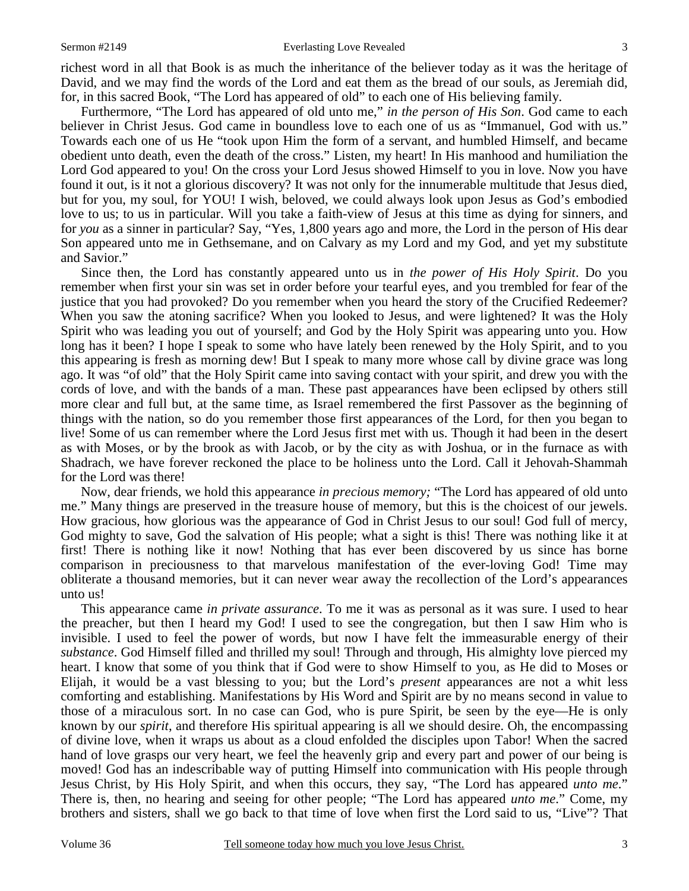#### Sermon #2149 Everlasting Love Revealed

richest word in all that Book is as much the inheritance of the believer today as it was the heritage of David, and we may find the words of the Lord and eat them as the bread of our souls, as Jeremiah did, for, in this sacred Book, "The Lord has appeared of old" to each one of His believing family.

 Furthermore, "The Lord has appeared of old unto me," *in the person of His Son*. God came to each believer in Christ Jesus. God came in boundless love to each one of us as "Immanuel, God with us." Towards each one of us He "took upon Him the form of a servant, and humbled Himself, and became obedient unto death, even the death of the cross." Listen, my heart! In His manhood and humiliation the Lord God appeared to you! On the cross your Lord Jesus showed Himself to you in love. Now you have found it out, is it not a glorious discovery? It was not only for the innumerable multitude that Jesus died, but for you, my soul, for YOU! I wish, beloved, we could always look upon Jesus as God's embodied love to us; to us in particular. Will you take a faith-view of Jesus at this time as dying for sinners, and for *you* as a sinner in particular? Say, "Yes, 1,800 years ago and more, the Lord in the person of His dear Son appeared unto me in Gethsemane, and on Calvary as my Lord and my God, and yet my substitute and Savior."

 Since then, the Lord has constantly appeared unto us in *the power of His Holy Spirit*. Do you remember when first your sin was set in order before your tearful eyes, and you trembled for fear of the justice that you had provoked? Do you remember when you heard the story of the Crucified Redeemer? When you saw the atoning sacrifice? When you looked to Jesus, and were lightened? It was the Holy Spirit who was leading you out of yourself; and God by the Holy Spirit was appearing unto you. How long has it been? I hope I speak to some who have lately been renewed by the Holy Spirit, and to you this appearing is fresh as morning dew! But I speak to many more whose call by divine grace was long ago. It was "of old" that the Holy Spirit came into saving contact with your spirit, and drew you with the cords of love, and with the bands of a man. These past appearances have been eclipsed by others still more clear and full but, at the same time, as Israel remembered the first Passover as the beginning of things with the nation, so do you remember those first appearances of the Lord, for then you began to live! Some of us can remember where the Lord Jesus first met with us. Though it had been in the desert as with Moses, or by the brook as with Jacob, or by the city as with Joshua, or in the furnace as with Shadrach, we have forever reckoned the place to be holiness unto the Lord. Call it Jehovah-Shammah for the Lord was there!

 Now, dear friends, we hold this appearance *in precious memory;* "The Lord has appeared of old unto me." Many things are preserved in the treasure house of memory, but this is the choicest of our jewels. How gracious, how glorious was the appearance of God in Christ Jesus to our soul! God full of mercy, God mighty to save, God the salvation of His people; what a sight is this! There was nothing like it at first! There is nothing like it now! Nothing that has ever been discovered by us since has borne comparison in preciousness to that marvelous manifestation of the ever-loving God! Time may obliterate a thousand memories, but it can never wear away the recollection of the Lord's appearances unto us!

 This appearance came *in private assurance*. To me it was as personal as it was sure. I used to hear the preacher, but then I heard my God! I used to see the congregation, but then I saw Him who is invisible. I used to feel the power of words, but now I have felt the immeasurable energy of their *substance*. God Himself filled and thrilled my soul! Through and through, His almighty love pierced my heart. I know that some of you think that if God were to show Himself to you, as He did to Moses or Elijah, it would be a vast blessing to you; but the Lord's *present* appearances are not a whit less comforting and establishing. Manifestations by His Word and Spirit are by no means second in value to those of a miraculous sort. In no case can God, who is pure Spirit, be seen by the eye—He is only known by our *spirit*, and therefore His spiritual appearing is all we should desire. Oh, the encompassing of divine love, when it wraps us about as a cloud enfolded the disciples upon Tabor! When the sacred hand of love grasps our very heart, we feel the heavenly grip and every part and power of our being is moved! God has an indescribable way of putting Himself into communication with His people through Jesus Christ, by His Holy Spirit, and when this occurs, they say, "The Lord has appeared *unto me*." There is, then, no hearing and seeing for other people; "The Lord has appeared *unto me*." Come, my brothers and sisters, shall we go back to that time of love when first the Lord said to us, "Live"? That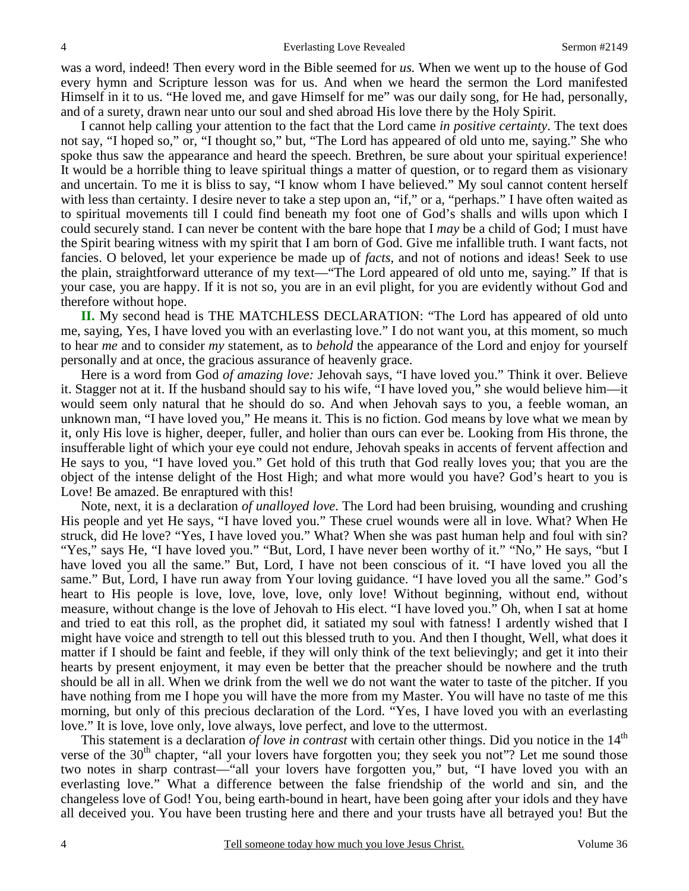was a word, indeed! Then every word in the Bible seemed for *us.* When we went up to the house of God every hymn and Scripture lesson was for us. And when we heard the sermon the Lord manifested Himself in it to us. "He loved me, and gave Himself for me" was our daily song, for He had, personally, and of a surety, drawn near unto our soul and shed abroad His love there by the Holy Spirit.

 I cannot help calling your attention to the fact that the Lord came *in positive certainty*. The text does not say, "I hoped so," or, "I thought so," but, "The Lord has appeared of old unto me, saying." She who spoke thus saw the appearance and heard the speech. Brethren, be sure about your spiritual experience! It would be a horrible thing to leave spiritual things a matter of question, or to regard them as visionary and uncertain. To me it is bliss to say, "I know whom I have believed." My soul cannot content herself with less than certainty. I desire never to take a step upon an, "if," or a, "perhaps." I have often waited as to spiritual movements till I could find beneath my foot one of God's shalls and wills upon which I could securely stand. I can never be content with the bare hope that I *may* be a child of God; I must have the Spirit bearing witness with my spirit that I am born of God. Give me infallible truth. I want facts, not fancies. O beloved, let your experience be made up of *facts,* and not of notions and ideas! Seek to use the plain, straightforward utterance of my text—"The Lord appeared of old unto me, saying." If that is your case, you are happy. If it is not so, you are in an evil plight, for you are evidently without God and therefore without hope.

**II.** My second head is THE MATCHLESS DECLARATION: "The Lord has appeared of old unto me, saying, Yes, I have loved you with an everlasting love." I do not want you, at this moment, so much to hear *me* and to consider *my* statement, as to *behold* the appearance of the Lord and enjoy for yourself personally and at once, the gracious assurance of heavenly grace.

 Here is a word from God *of amazing love:* Jehovah says, "I have loved you." Think it over. Believe it. Stagger not at it. If the husband should say to his wife, "I have loved you," she would believe him—it would seem only natural that he should do so. And when Jehovah says to you, a feeble woman, an unknown man, "I have loved you," He means it. This is no fiction. God means by love what we mean by it, only His love is higher, deeper, fuller, and holier than ours can ever be. Looking from His throne, the insufferable light of which your eye could not endure, Jehovah speaks in accents of fervent affection and He says to you, "I have loved you." Get hold of this truth that God really loves you; that you are the object of the intense delight of the Host High; and what more would you have? God's heart to you is Love! Be amazed. Be enraptured with this!

 Note, next, it is a declaration *of unalloyed love*. The Lord had been bruising, wounding and crushing His people and yet He says, "I have loved you." These cruel wounds were all in love. What? When He struck, did He love? "Yes, I have loved you." What? When she was past human help and foul with sin? "Yes," says He, "I have loved you." "But, Lord, I have never been worthy of it." "No," He says, "but I have loved you all the same." But, Lord, I have not been conscious of it. "I have loved you all the same." But, Lord, I have run away from Your loving guidance. "I have loved you all the same." God's heart to His people is love, love, love, love, only love! Without beginning, without end, without measure, without change is the love of Jehovah to His elect. "I have loved you." Oh, when I sat at home and tried to eat this roll, as the prophet did, it satiated my soul with fatness! I ardently wished that I might have voice and strength to tell out this blessed truth to you. And then I thought, Well, what does it matter if I should be faint and feeble, if they will only think of the text believingly; and get it into their hearts by present enjoyment, it may even be better that the preacher should be nowhere and the truth should be all in all. When we drink from the well we do not want the water to taste of the pitcher. If you have nothing from me I hope you will have the more from my Master. You will have no taste of me this morning, but only of this precious declaration of the Lord. "Yes, I have loved you with an everlasting love." It is love, love only, love always, love perfect, and love to the uttermost.

This statement is a declaration *of love in contrast* with certain other things. Did you notice in the 14<sup>th</sup> verse of the 30<sup>th</sup> chapter, "all your lovers have forgotten you; they seek you not"? Let me sound those two notes in sharp contrast—"all your lovers have forgotten you," but, "I have loved you with an everlasting love." What a difference between the false friendship of the world and sin, and the changeless love of God! You, being earth-bound in heart, have been going after your idols and they have all deceived you. You have been trusting here and there and your trusts have all betrayed you! But the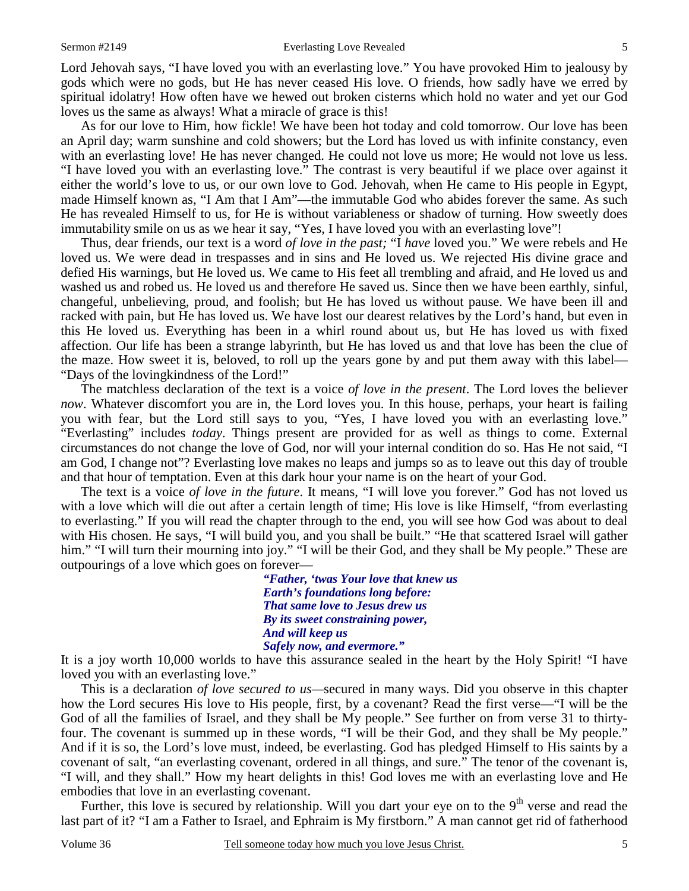Lord Jehovah says, "I have loved you with an everlasting love." You have provoked Him to jealousy by gods which were no gods, but He has never ceased His love. O friends, how sadly have we erred by spiritual idolatry! How often have we hewed out broken cisterns which hold no water and yet our God loves us the same as always! What a miracle of grace is this!

 As for our love to Him, how fickle! We have been hot today and cold tomorrow. Our love has been an April day; warm sunshine and cold showers; but the Lord has loved us with infinite constancy, even with an everlasting love! He has never changed. He could not love us more; He would not love us less. "I have loved you with an everlasting love." The contrast is very beautiful if we place over against it either the world's love to us, or our own love to God. Jehovah, when He came to His people in Egypt, made Himself known as, "I Am that I Am"—the immutable God who abides forever the same. As such He has revealed Himself to us, for He is without variableness or shadow of turning. How sweetly does immutability smile on us as we hear it say, "Yes, I have loved you with an everlasting love"!

 Thus, dear friends, our text is a word *of love in the past;* "I *have* loved you." We were rebels and He loved us. We were dead in trespasses and in sins and He loved us. We rejected His divine grace and defied His warnings, but He loved us. We came to His feet all trembling and afraid, and He loved us and washed us and robed us. He loved us and therefore He saved us. Since then we have been earthly, sinful, changeful, unbelieving, proud, and foolish; but He has loved us without pause. We have been ill and racked with pain, but He has loved us. We have lost our dearest relatives by the Lord's hand, but even in this He loved us. Everything has been in a whirl round about us, but He has loved us with fixed affection. Our life has been a strange labyrinth, but He has loved us and that love has been the clue of the maze. How sweet it is, beloved, to roll up the years gone by and put them away with this label— "Days of the lovingkindness of the Lord!"

 The matchless declaration of the text is a voice *of love in the present*. The Lord loves the believer *now*. Whatever discomfort you are in, the Lord loves you. In this house, perhaps, your heart is failing you with fear, but the Lord still says to you, "Yes, I have loved you with an everlasting love." "Everlasting" includes *today*. Things present are provided for as well as things to come. External circumstances do not change the love of God, nor will your internal condition do so. Has He not said, "I am God, I change not"? Everlasting love makes no leaps and jumps so as to leave out this day of trouble and that hour of temptation. Even at this dark hour your name is on the heart of your God.

 The text is a voice *of love in the future*. It means, "I will love you forever." God has not loved us with a love which will die out after a certain length of time; His love is like Himself, "from everlasting to everlasting." If you will read the chapter through to the end, you will see how God was about to deal with His chosen. He says, "I will build you, and you shall be built." "He that scattered Israel will gather him." "I will turn their mourning into joy." "I will be their God, and they shall be My people." These are outpourings of a love which goes on forever—

> *"Father, 'twas Your love that knew us Earth's foundations long before: That same love to Jesus drew us By its sweet constraining power, And will keep us Safely now, and evermore."*

It is a joy worth 10,000 worlds to have this assurance sealed in the heart by the Holy Spirit! "I have loved you with an everlasting love."

 This is a declaration *of love secured to us—*secured in many ways. Did you observe in this chapter how the Lord secures His love to His people, first, by a covenant? Read the first verse—"I will be the God of all the families of Israel, and they shall be My people." See further on from verse 31 to thirtyfour. The covenant is summed up in these words, "I will be their God, and they shall be My people." And if it is so, the Lord's love must, indeed, be everlasting. God has pledged Himself to His saints by a covenant of salt, "an everlasting covenant, ordered in all things, and sure." The tenor of the covenant is, "I will, and they shall." How my heart delights in this! God loves me with an everlasting love and He embodies that love in an everlasting covenant.

Further, this love is secured by relationship. Will you dart your eye on to the  $9<sup>th</sup>$  verse and read the last part of it? "I am a Father to Israel, and Ephraim is My firstborn." A man cannot get rid of fatherhood

5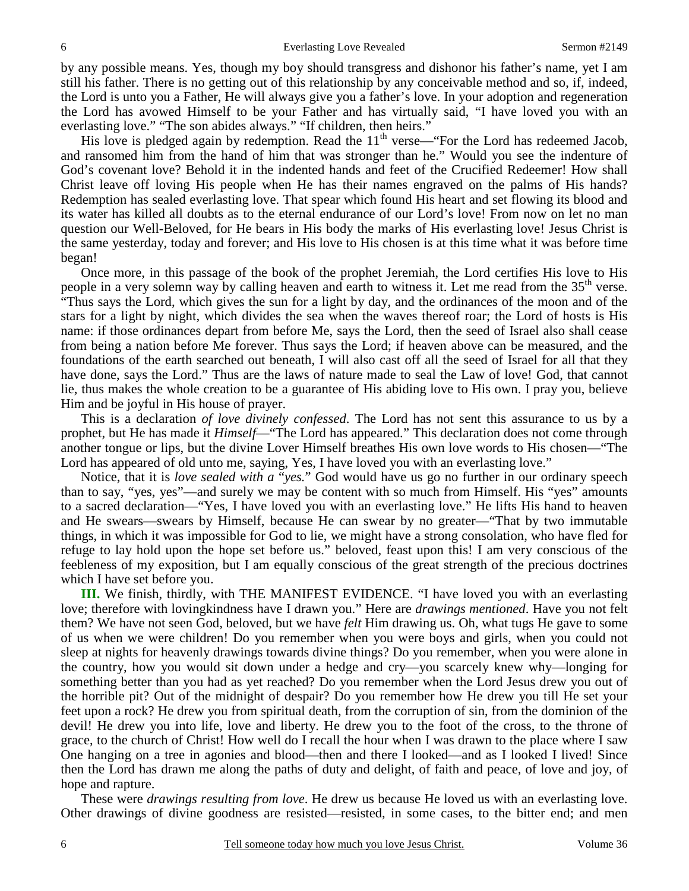Everlasting Love Revealed Sermon #2149

by any possible means. Yes, though my boy should transgress and dishonor his father's name, yet I am still his father. There is no getting out of this relationship by any conceivable method and so, if, indeed, the Lord is unto you a Father, He will always give you a father's love. In your adoption and regeneration the Lord has avowed Himself to be your Father and has virtually said, "I have loved you with an everlasting love." "The son abides always." "If children, then heirs."

His love is pledged again by redemption. Read the  $11<sup>th</sup>$  verse—"For the Lord has redeemed Jacob, and ransomed him from the hand of him that was stronger than he." Would you see the indenture of God's covenant love? Behold it in the indented hands and feet of the Crucified Redeemer! How shall Christ leave off loving His people when He has their names engraved on the palms of His hands? Redemption has sealed everlasting love. That spear which found His heart and set flowing its blood and its water has killed all doubts as to the eternal endurance of our Lord's love! From now on let no man question our Well-Beloved, for He bears in His body the marks of His everlasting love! Jesus Christ is the same yesterday, today and forever; and His love to His chosen is at this time what it was before time began!

 Once more, in this passage of the book of the prophet Jeremiah, the Lord certifies His love to His people in a very solemn way by calling heaven and earth to witness it. Let me read from the 35<sup>th</sup> verse. "Thus says the Lord, which gives the sun for a light by day, and the ordinances of the moon and of the stars for a light by night, which divides the sea when the waves thereof roar; the Lord of hosts is His name: if those ordinances depart from before Me, says the Lord, then the seed of Israel also shall cease from being a nation before Me forever. Thus says the Lord; if heaven above can be measured, and the foundations of the earth searched out beneath, I will also cast off all the seed of Israel for all that they have done, says the Lord." Thus are the laws of nature made to seal the Law of love! God, that cannot lie, thus makes the whole creation to be a guarantee of His abiding love to His own. I pray you, believe Him and be joyful in His house of prayer.

 This is a declaration *of love divinely confessed*. The Lord has not sent this assurance to us by a prophet, but He has made it *Himself*—"The Lord has appeared." This declaration does not come through another tongue or lips, but the divine Lover Himself breathes His own love words to His chosen—"The Lord has appeared of old unto me, saying, Yes, I have loved you with an everlasting love."

 Notice, that it is *love sealed with a* "*yes.*" God would have us go no further in our ordinary speech than to say, "yes, yes"—and surely we may be content with so much from Himself. His "yes" amounts to a sacred declaration—"Yes, I have loved you with an everlasting love." He lifts His hand to heaven and He swears—swears by Himself, because He can swear by no greater—"That by two immutable things, in which it was impossible for God to lie, we might have a strong consolation, who have fled for refuge to lay hold upon the hope set before us." beloved, feast upon this! I am very conscious of the feebleness of my exposition, but I am equally conscious of the great strength of the precious doctrines which I have set before you.

**III.** We finish, thirdly, with THE MANIFEST EVIDENCE. "I have loved you with an everlasting love; therefore with lovingkindness have I drawn you." Here are *drawings mentioned*. Have you not felt them? We have not seen God, beloved, but we have *felt* Him drawing us. Oh, what tugs He gave to some of us when we were children! Do you remember when you were boys and girls, when you could not sleep at nights for heavenly drawings towards divine things? Do you remember, when you were alone in the country, how you would sit down under a hedge and cry—you scarcely knew why—longing for something better than you had as yet reached? Do you remember when the Lord Jesus drew you out of the horrible pit? Out of the midnight of despair? Do you remember how He drew you till He set your feet upon a rock? He drew you from spiritual death, from the corruption of sin, from the dominion of the devil! He drew you into life, love and liberty. He drew you to the foot of the cross, to the throne of grace, to the church of Christ! How well do I recall the hour when I was drawn to the place where I saw One hanging on a tree in agonies and blood—then and there I looked—and as I looked I lived! Since then the Lord has drawn me along the paths of duty and delight, of faith and peace, of love and joy, of hope and rapture.

 These were *drawings resulting from love*. He drew us because He loved us with an everlasting love. Other drawings of divine goodness are resisted—resisted, in some cases, to the bitter end; and men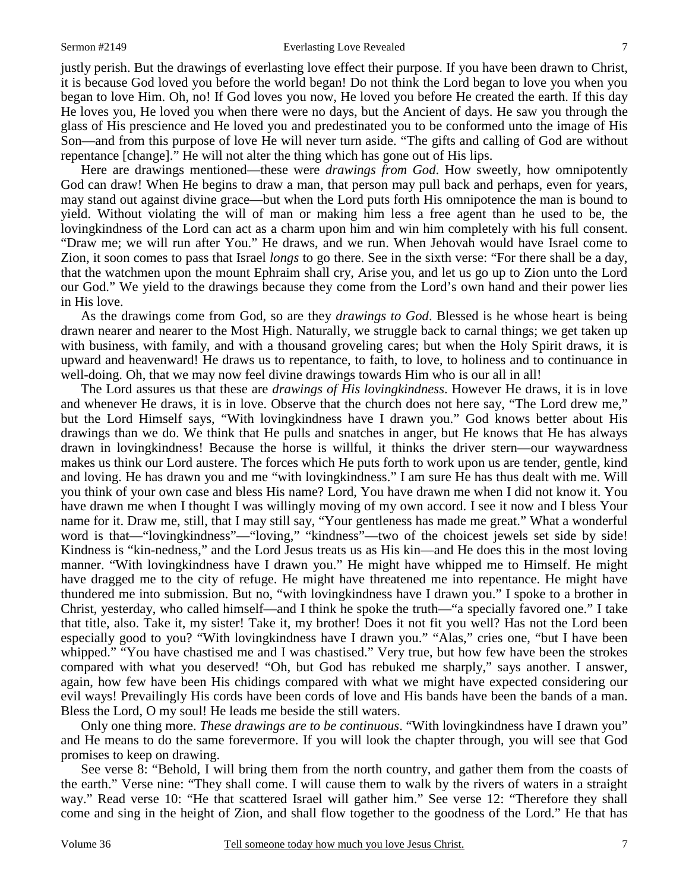#### Sermon #2149 Everlasting Love Revealed

justly perish. But the drawings of everlasting love effect their purpose. If you have been drawn to Christ, it is because God loved you before the world began! Do not think the Lord began to love you when you began to love Him. Oh, no! If God loves you now, He loved you before He created the earth. If this day He loves you, He loved you when there were no days, but the Ancient of days. He saw you through the glass of His prescience and He loved you and predestinated you to be conformed unto the image of His Son—and from this purpose of love He will never turn aside. "The gifts and calling of God are without repentance [change]." He will not alter the thing which has gone out of His lips.

 Here are drawings mentioned—these were *drawings from God*. How sweetly, how omnipotently God can draw! When He begins to draw a man, that person may pull back and perhaps, even for years, may stand out against divine grace—but when the Lord puts forth His omnipotence the man is bound to yield. Without violating the will of man or making him less a free agent than he used to be, the lovingkindness of the Lord can act as a charm upon him and win him completely with his full consent. "Draw me; we will run after You." He draws, and we run. When Jehovah would have Israel come to Zion, it soon comes to pass that Israel *longs* to go there. See in the sixth verse: "For there shall be a day, that the watchmen upon the mount Ephraim shall cry, Arise you, and let us go up to Zion unto the Lord our God." We yield to the drawings because they come from the Lord's own hand and their power lies in His love.

 As the drawings come from God, so are they *drawings to God*. Blessed is he whose heart is being drawn nearer and nearer to the Most High. Naturally, we struggle back to carnal things; we get taken up with business, with family, and with a thousand groveling cares; but when the Holy Spirit draws, it is upward and heavenward! He draws us to repentance, to faith, to love, to holiness and to continuance in well-doing. Oh, that we may now feel divine drawings towards Him who is our all in all!

 The Lord assures us that these are *drawings of His lovingkindness*. However He draws, it is in love and whenever He draws, it is in love. Observe that the church does not here say, "The Lord drew me," but the Lord Himself says, "With lovingkindness have I drawn you." God knows better about His drawings than we do. We think that He pulls and snatches in anger, but He knows that He has always drawn in lovingkindness! Because the horse is willful, it thinks the driver stern—our waywardness makes us think our Lord austere. The forces which He puts forth to work upon us are tender, gentle, kind and loving. He has drawn you and me "with lovingkindness." I am sure He has thus dealt with me. Will you think of your own case and bless His name? Lord, You have drawn me when I did not know it. You have drawn me when I thought I was willingly moving of my own accord. I see it now and I bless Your name for it. Draw me, still, that I may still say, "Your gentleness has made me great." What a wonderful word is that—"lovingkindness"—"loving," "kindness"—two of the choicest jewels set side by side! Kindness is "kin-nedness," and the Lord Jesus treats us as His kin—and He does this in the most loving manner. "With lovingkindness have I drawn you." He might have whipped me to Himself. He might have dragged me to the city of refuge. He might have threatened me into repentance. He might have thundered me into submission. But no, "with lovingkindness have I drawn you." I spoke to a brother in Christ, yesterday, who called himself—and I think he spoke the truth—"a specially favored one." I take that title, also. Take it, my sister! Take it, my brother! Does it not fit you well? Has not the Lord been especially good to you? "With lovingkindness have I drawn you." "Alas," cries one, "but I have been whipped." "You have chastised me and I was chastised." Very true, but how few have been the strokes compared with what you deserved! "Oh, but God has rebuked me sharply," says another. I answer, again, how few have been His chidings compared with what we might have expected considering our evil ways! Prevailingly His cords have been cords of love and His bands have been the bands of a man. Bless the Lord, O my soul! He leads me beside the still waters.

 Only one thing more. *These drawings are to be continuous*. "With lovingkindness have I drawn you" and He means to do the same forevermore. If you will look the chapter through, you will see that God promises to keep on drawing.

 See verse 8: "Behold, I will bring them from the north country, and gather them from the coasts of the earth." Verse nine: "They shall come. I will cause them to walk by the rivers of waters in a straight way." Read verse 10: "He that scattered Israel will gather him." See verse 12: "Therefore they shall come and sing in the height of Zion, and shall flow together to the goodness of the Lord." He that has